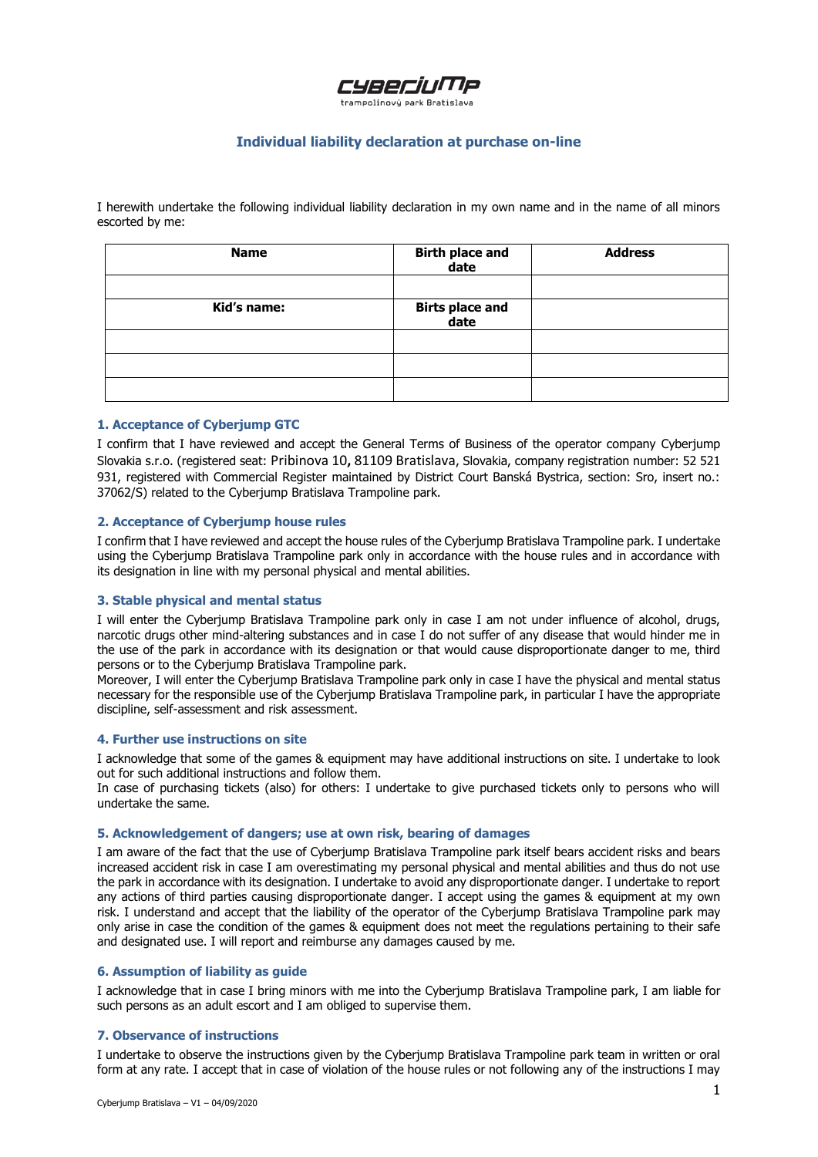# CYBECIUMP

trampolínový park Bratislava

# **Individual liability declaration at purchase on-line**

I herewith undertake the following individual liability declaration in my own name and in the name of all minors escorted by me:

| <b>Name</b> | Birth place and<br>date | <b>Address</b> |
|-------------|-------------------------|----------------|
|             |                         |                |
| Kid's name: | Birts place and<br>date |                |
|             |                         |                |
|             |                         |                |
|             |                         |                |

## **1. Acceptance of Cyberjump GTC**

I confirm that I have reviewed and accept the General Terms of Business of the operator company Cyberjump Slovakia s.r.o. (registered seat: Pribinova 10**,** 81109 Bratislava, Slovakia, company registration number: 52 521 931, reaistered with Commercial Register maintained by District Court Banská Bystrica, section: Sro, insert no.: 37062/S) related to the Cyberjump Bratislava Trampoline park.

# **2. Acceptance of Cyberjump house rules**

I confirm that I have reviewed and accept the house rules of the Cyberjump Bratislava Trampoline park. I undertake using the Cyberjump Bratislava Trampoline park only in accordance with the house rules and in accordance with its designation in line with my personal physical and mental abilities.

### **3. Stable physical and mental status**

I will enter the Cyberjump Bratislava Trampoline park only in case I am not under influence of alcohol, drugs, narcotic drugs other mind-altering substances and in case I do not suffer of any disease that would hinder me in the use of the park in accordance with its designation or that would cause disproportionate danger to me, third persons or to the Cyberjump Bratislava Trampoline park.

Moreover, I will enter the Cyberjump Bratislava Trampoline park only in case I have the physical and mental status necessary for the responsible use of the Cyberjump Bratislava Trampoline park, in particular I have the appropriate discipline, self-assessment and risk assessment.

### **4. Further use instructions on site**

I acknowledge that some of the games & equipment may have additional instructions on site. I undertake to look out for such additional instructions and follow them.

In case of purchasing tickets (also) for others: I undertake to give purchased tickets only to persons who will undertake the same.

# **5. Acknowledgement of dangers; use at own risk, bearing of damages**

I am aware of the fact that the use of Cyberjump Bratislava Trampoline park itself bears accident risks and bears increased accident risk in case I am overestimating my personal physical and mental abilities and thus do not use the park in accordance with its designation. I undertake to avoid any disproportionate danger. I undertake to report any actions of third parties causing disproportionate danger. I accept using the games & equipment at my own risk. I understand and accept that the liability of the operator of the Cyberjump Bratislava Trampoline park may only arise in case the condition of the games & equipment does not meet the regulations pertaining to their safe and designated use. I will report and reimburse any damages caused by me.

# **6. Assumption of liability as guide**

I acknowledge that in case I bring minors with me into the Cyberjump Bratislava Trampoline park, I am liable for such persons as an adult escort and I am obliged to supervise them.

# **7. Observance of instructions**

I undertake to observe the instructions given by the Cyberjump Bratislava Trampoline park team in written or oral form at any rate. I accept that in case of violation of the house rules or not following any of the instructions I may